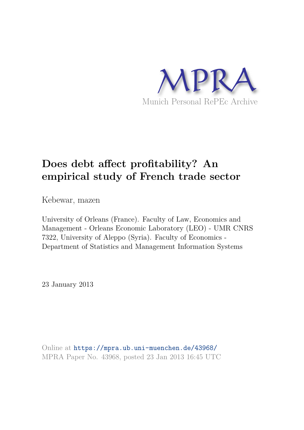

# **Does debt affect profitability? An empirical study of French trade sector**

Kebewar, mazen

University of Orleans (France). Faculty of Law, Economics and Management - Orleans Economic Laboratory (LEO) - UMR CNRS 7322, University of Aleppo (Syria). Faculty of Economics - Department of Statistics and Management Information Systems

23 January 2013

Online at https://mpra.ub.uni-muenchen.de/43968/ MPRA Paper No. 43968, posted 23 Jan 2013 16:45 UTC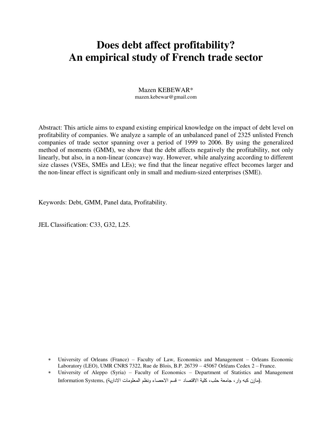# **Does debt affect profitability? An empirical study of French trade sector**

#### Mazen KEBEWAR\* [mazen.kebewar@gmail.com](mailto:mazen.kebewar@gmail.com)

Abstract: This article aims to expand existing empirical knowledge on the impact of debt level on profitability of companies. We analyze a sample of an unbalanced panel of 2325 unlisted French companies of trade sector spanning over a period of 1999 to 2006. By using the generalized method of moments (GMM), we show that the debt affects negatively the profitability, not only linearly, but also, in a non-linear (concave) way. However, while analyzing according to different size classes (VSEs, SMEs and LEs); we find that the linear negative effect becomes larger and the non-linear effect is significant only in small and medium-sized enterprises (SME).

Keywords: Debt, GMM, Panel data, Profitability.

JEL Classification: C33, G32, L25.

- University of Orleans (France) Faculty of Law, Economics and Management Orleans Economic Laboratory (LEO), UMR CNRS 7322, Rue de Blois, B.P. 26739 – 45067 Orléans Cedex 2 – France.
- University of Aleppo (Syria) Faculty of Economics Department of Statistics and Management .(مازن كبه وار، جامعة حلب، كلية الاقتصاد – قسم الاحصاء ونظم المعلومات الادارية) ,Information Systems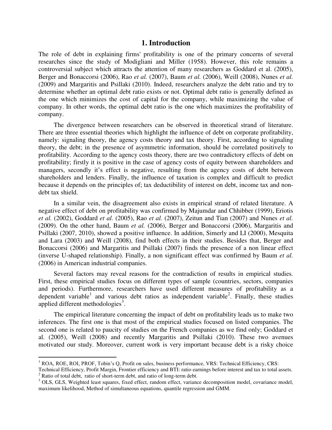### **1. Introduction**

The role of debt in explaining firms' profitability is one of the primary concerns of several researches since the study of Modigliani and Miller (1958). However, this role remains a controversial subject which attracts the attention of many researchers as Goddard et al. (2005), Berger and Bonaccorsi (2006), Rao *et al.* (2007), Baum *et al.* (2006), Weill (2008), Nunes *et al.*  (2009) and Margaritis and Psillaki (2010). Indeed, researchers analyze the debt ratio and try to determine whether an optimal debt ratio exists or not. Optimal debt ratio is generally defined as the one which minimizes the cost of capital for the company, while maximizing the value of company. In other words, the optimal debt ratio is the one which maximizes the profitability of company.

The divergence between researchers can be observed in theoretical strand of literature. There are three essential theories which highlight the influence of debt on corporate profitability, namely: signaling theory, the agency costs theory and tax theory. First, according to signaling theory, the debt; in the presence of asymmetric information, should be correlated positively to profitability. According to the agency costs theory, there are two contradictory effects of debt on profitability; firstly it is positive in the case of agency costs of equity between shareholders and managers, secondly it's effect is negative, resulting from the agency costs of debt between shareholders and lenders. Finally, the influence of taxation is complex and difficult to predict because it depends on the principles of; tax deductibility of interest on debt, income tax and nondebt tax shield.

In a similar vein, the disagreement also exists in empirical strand of related literature. A negative effect of debt on profitability was confirmed by Majumdar and Chhibber (1999), Eriotis *et al.* (2002), Goddard *et al.* (2005), Rao *et al.* (2007), Zeitun and Tian (2007) and Nunes *et al.* (2009). On the other hand, Baum *et al.* (2006), Berger and Bonaccorsi (2006), Margaritis and Psillaki (2007, 2010), showed a positive influence. In addition, Simerly and LI (2000), Mesquita and Lara (2003) and Weill (2008), find both effects in their studies. Besides that, Berger and Bonaccorsi (2006) and Margaritis and Psillaki (2007) finds the presence of a non linear effect (inverse U-shaped relationship). Finally, a non significant effect was confirmed by Baum *et al.* (2006) in American industrial companies.

Several factors may reveal reasons for the contradiction of results in empirical studies. First, these empirical studies focus on different types of sample (countries, sectors, companies and periods). Furthermore, researchers have used different measures of profitability as a dependent variable<sup>1</sup> and various debt ratios as independent variable<sup>2</sup>. Finally, these studies applied different methodologies<sup>3</sup>.

The empirical literature concerning the impact of debt on profitability leads us to make two inferences. The first one is that most of the empirical studies focused on listed companies. The second one is related to paucity of studies on the French companies as we find only; Goddard et al. (2005), Weill (2008) and recently Margaritis and Psillaki (2010). These two avenues motivated our study. Moreover, current work is very important because debt is a risky choice

 $\overline{a}$ 

 $<sup>1</sup>$  ROA, ROE, ROI, PROF, Tobin's Q, Profit on sales, business performance, VRS: Technical Efficiency, CRS:</sup>

Technical Efficiency, Profit Margin, Frontier efficiency and BTI: ratio earnings before interest and tax to total assets.  $2^2$  Ratio of total debt, ratio of short-term debt, and ratio of long-term debt.

<sup>&</sup>lt;sup>3</sup> OLS, GLS, Weighted least squares, fixed effect, random effect, variance decomposition model, covariance model, maximum likelihood, Method of simultaneous equations, quantile regression and GMM.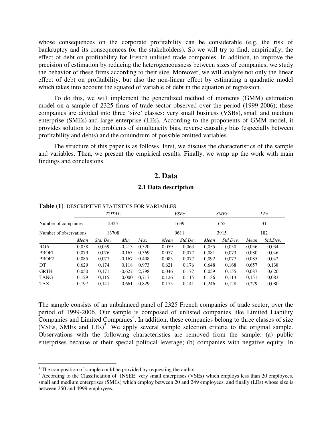whose consequences on the corporate profitability can be considerable (e.g. the risk of bankruptcy and its consequences for the stakeholders). So we will try to find, empirically, the effect of debt on profitability for French unlisted trade companies. In addition, to improve the precision of estimation by reducing the heterogeneousness between sizes of companies, we study the behavior of these firms according to their size. Moreover, we will analyze not only the linear effect of debt on profitability, but also the non-linear effect by estimating a quadratic model which takes into account the squared of variable of debt in the equation of regression.

To do this, we will implement the generalized method of moments (GMM) estimation model on a sample of 2325 firms of trade sector observed over the period (1999-2006); these companies are divided into three 'size' classes: very small business (VSBs), small and medium enterprise (SMEs) and large enterprise (LEs). According to the proponents of GMM model, it provides solution to the problems of simultaneity bias, reverse causality bias (especially between profitability and debts) and the conundrum of possible omitted variables.

The structure of this paper is as follows. First, we discuss the characteristics of the sample and variables. Then, we present the empirical results. Finally, we wrap up the work with main findings and conclusions.

# **2. Data**

#### **2.1 Data description**

|                        | <b>TOTAL</b> |           |          |       |       |          |       | <b>SMEs</b> | LEs   |          |  |
|------------------------|--------------|-----------|----------|-------|-------|----------|-------|-------------|-------|----------|--|
| Number of companies    |              | 2325      |          |       |       | 1639     |       | 655         | 31    |          |  |
| Number of observations |              | 13708     |          |       |       | 9611     |       | 3915        |       | 182      |  |
|                        | Mean         | Std. Dev. | Min      | Max   | Mean  | Std.Dev. | Mean  | Std.Dev.    | Mean  | Std.Dev. |  |
| <b>ROA</b>             | 0,058        | 0,059     | $-0,213$ | 0,320 | 0,059 | 0.063    | 0,055 | 0,050       | 0,056 | 0,034    |  |
| PROF1                  | 0.079        | 0.076     | $-0,163$ | 0.369 | 0,077 | 0.077    | 0.081 | 0.073       | 0.080 | 0,046    |  |
| PROF <sub>2</sub>      | 0,085        | 0,077     | $-0,167$ | 0.408 | 0,083 | 0,077    | 0,092 | 0,077       | 0,085 | 0,042    |  |
| DT                     | 0,629        | 0,174     | 0,118    | 0.973 | 0,621 | 0,176    | 0.648 | 0,168       | 0,657 | 0,138    |  |
| <b>GRTH</b>            | 0,050        | 0,171     | $-0,627$ | 2,798 | 0,046 | 0,177    | 0.059 | 0,155       | 0,087 | 0,620    |  |
| <b>TANG</b>            | 0,129        | 0,115     | 0,000    | 0.717 | 0,126 | 0,115    | 0,136 | 0,113       | 0,151 | 0,083    |  |
| TAX                    | 0,197        | 0,141     | $-0.661$ | 0,829 | 0,175 | 0,141    | 0,246 | 0,128       | 0,279 | 0,080    |  |

#### **Table (1)** DESCRIPTIVE STATISTICS FOR VARIABLES

The sample consists of an unbalanced panel of 2325 French companies of trade sector, over the period of 1999-2006. Our sample is composed of unlisted companies like Limited Liability Companies and Limited Companies<sup>4</sup>. In addition, these companies belong to three classes of size  $(VSEs, SMEs$  and  $LES)^5$ . We apply several sample selection criteria to the original sample. Observations with the following characteristics are removed from the sample: (a) public enterprises because of their special political leverage; (b) companies with negative equity. In

<sup>&</sup>lt;sup>4</sup> The composition of sample could be provided by requesting the author.

<sup>&</sup>lt;sup>5</sup> According to the Classification of INSEE: very small enterprises (VSEs) which employs less than 20 employees, small and medium enterprises (SMEs) which employ between 20 and 249 employees, and finally (LEs) whose size is between 250 and 4999 employees.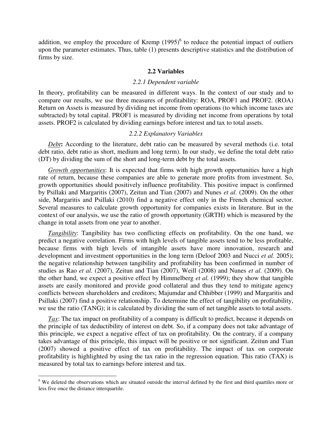addition, we employ the procedure of Kremp  $(1995)^6$  to reduce the potential impact of outliers upon the parameter estimates. Thus, table (1) presents descriptive statistics and the distribution of firms by size.

#### **2.2 Variables**

#### *2.2.1 Dependent variable*

In theory, profitability can be measured in different ways. In the context of our study and to compare our results, we use three measures of profitability: ROA, PROF1 and PROF2. (ROA) Return on Assets is measured by dividing net income from operations (to which income taxes are subtracted) by total capital. PROF1 is measured by dividing net income from operations by total assets. PROF2 is calculated by dividing earnings before interest and tax to total assets.

#### *2.2.2 Explanatory Variables*

*Debt***:** According to the literature, debt ratio can be measured by several methods (i.e. total debt ratio, debt ratio as short, medium and long term). In our study, we define the total debt ratio (DT) by dividing the sum of the short and long-term debt by the total assets.

*Growth opportunities*: It is expected that firms with high growth opportunities have a high rate of return, because these companies are able to generate more profits from investment. So, growth opportunities should positively influence profitability. This positive impact is confirmed by Psillaki and Margaritis (2007), Zeitun and Tian (2007) and Nunes *et al.* (2009). On the other side, Margaritis and Psillaki (2010) find a negative effect only in the French chemical sector. Several measures to calculate growth opportunity for companies exists in literature. But in the context of our analysis, we use the ratio of growth opportunity (GRTH) which is measured by the change in total assets from one year to another.

*Tangibility*: Tangibility has two conflicting effects on profitability. On the one hand, we predict a negative correlation. Firms with high levels of tangible assets tend to be less profitable, because firms with high levels of intangible assets have more innovation, research and development and investment opportunities in the long term (Deloof 2003 and Nucci *et al.* 2005); the negative relationship between tangibility and profitability has been confirmed in number of studies as Rao *et al.* (2007), Zeitun and Tian (2007), Weill (2008) and Nunes *et al.* (2009). On the other hand, we expect a positive effect by Himmelberg *et al.* (1999); they show that tangible assets are easily monitored and provide good collateral and thus they tend to mitigate agency conflicts between shareholders and creditors; Majumdar and Chhibber (1999) and Margaritis and Psillaki (2007) find a positive relationship. To determine the effect of tangibility on profitability, we use the ratio (TANG); it is calculated by dividing the sum of net tangible assets to total assets.

*Tax*: The tax impact on profitability of a company is difficult to predict, because it depends on the principle of tax deductibility of interest on debt. So, if a company does not take advantage of this principle, we expect a negative effect of tax on profitability. On the contrary, if a company takes advantage of this principle, this impact will be positive or not significant. Zeitun and Tian (2007) showed a positive effect of tax on profitability. The impact of tax on corporate profitability is highlighted by using the tax ratio in the regression equation. This ratio (TAX) is measured by total tax to earnings before interest and tax.

<sup>&</sup>lt;sup>6</sup> We deleted the observations which are situated outside the interval defined by the first and third quartiles more or less five once the distance interquartile.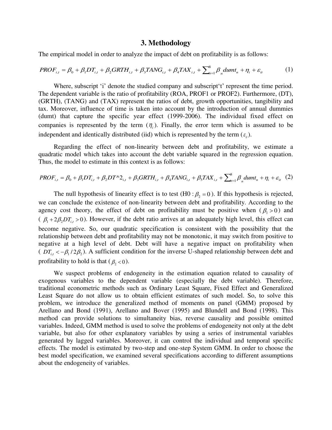#### **3. Methodology**

The empirical model in order to analyze the impact of debt on profitability is as follows:

$$
PROF_{i,t} = \beta_0 + \beta_1 DT_{i,t} + \beta_2 GRTH_{i,t} + \beta_3 TANG_{i,t} + \beta_4 TAX_{i,t} + \sum_{n=1}^8 \beta_n dumt_n + \eta_i + \varepsilon_{it}
$$
 (1)

Where, subscript 'i' denote the studied company and subscript 't' represent the time period. The dependent variable is the ratio of profitability (ROA, PROF1 or PROF2). Furthermore, (DT), (GRTH), (TANG) and (TAX) represent the ratios of debt, growth opportunities, tangibility and tax. Moreover, influence of time is taken into account by the introduction of annual dummies (dumt) that capture the specific year effect (1999-2006). The individual fixed effect on companies is represented by the term  $(\eta_i)$ . Finally, the error term which is assumed to be independent and identically distributed (iid) which is represented by the term  $(\varepsilon_n)$ .

Regarding the effect of non-linearity between debt and profitability, we estimate a quadratic model which takes into account the debt variable squared in the regression equation. Thus, the model to estimate in this context is as follows:

$$
PROF_{i,t} = \beta_0 + \beta_1 DT_{i,t} + \beta_2 DT^{\wedge 2}_{i,t} + \beta_3 GRTH_{i,t} + \beta_4 TANG_{i,t} + \beta_5 TAX_{i,t} + \sum_{n=1}^8 \beta_n dumt_n + \eta_i + \varepsilon_{it} \tag{2}
$$

The null hypothesis of linearity effect is to test (H0 :  $\beta$ , = 0). If this hypothesis is rejected, we can conclude the existence of non-linearity between debt and profitability. According to the agency cost theory, the effect of debt on profitability must be positive when  $(\beta_1 > 0)$  and ( $\beta_1 + 2\beta_2 DT_{i} > 0$ ). However, if the debt ratio arrives at an adequately high level, this effect can become negative. So, our quadratic specification is consistent with the possibility that the relationship between debt and profitability may not be monotonic, it may switch from positive to negative at a high level of debt. Debt will have a negative impact on profitability when (  $DT_{i,t} < -\beta_1/2\beta_2$ ). A sufficient condition for the inverse U-shaped relationship between debt and profitability to hold is that ( $\beta_2 < 0$ ).

We suspect problems of endogeneity in the estimation equation related to causality of exogenous variables to the dependent variable (especially the debt variable). Therefore, traditional econometric methods such as Ordinary Least Square, Fixed Effect and Generalized Least Square do not allow us to obtain efficient estimates of such model. So, to solve this problem, we introduce the generalized method of moments on panel (GMM) proposed by Arellano and Bond (1991), Arellano and Bover (1995) and Blundell and Bond (1998). This method can provide solutions to simultaneity bias, reverse causality and possible omitted variables. Indeed, GMM method is used to solve the problems of endogeneity not only at the debt variable, but also for other explanatory variables by using a series of instrumental variables generated by lagged variables. Moreover, it can control the individual and temporal specific effects. The model is estimated by two-step and one-step System GMM. In order to choose the best model specification, we examined several specifications according to different assumptions about the endogeneity of variables.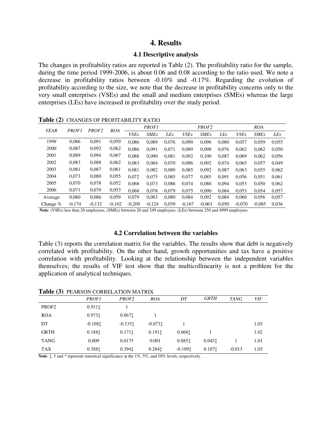# **4. Results**

#### **4.1 Descriptive analysis**

The changes in profitability ratios are reported in Table (2). The profitability ratio for the sample, during the time period 1999-2006, is about 0.06 and 0.08 according to the ratio used. We note a decrease in profitability ratios between -0.10% and -0.17%. Regarding the evolution of profitability according to the size, we note that the decrease in profitability concerns only to the very small enterprises (VSEs) and the small and medium enterprises (SMEs) whereas the large enterprises (LEs) have increased in profitability over the study period.

| <b>YEAR</b> | <b>PROF1</b> | PROF <sub>2</sub> | <b>ROA</b> |             | <b>PROF1</b> |            |             | PROF <sub>2</sub> |            | <b>ROA</b>  |             |            |  |
|-------------|--------------|-------------------|------------|-------------|--------------|------------|-------------|-------------------|------------|-------------|-------------|------------|--|
|             |              |                   |            | <b>VSEs</b> | <b>SMEs</b>  | <b>LEs</b> | <b>VSEs</b> | <b>SMEs</b>       | <b>LEs</b> | <b>VSEs</b> | <b>SMEs</b> | <b>LEs</b> |  |
| 1999        | 0.086        | 0,091             | 0,059      | 0.086       | 0.089        | 0.076      | 0,090       | 0,096             | 0.080      | 0,057       | 0,059       | 0,055      |  |
| 2000        | 0,087        | 0,092             | 0,062      | 0.086       | 0.091        | 0.071      | 0,089       | 0,098             | 0.076      | 0,062       | 0,062       | 0,050      |  |
| 2001        | 0,089        | 0,094             | 0,067      | 0.088       | 0.090        | 0,081      | 0,092       | 0.100             | 0.087      | 0.069       | 0,062       | 0,056      |  |
| 2002        | 0,083        | 0,088             | 0,062      | 0.083       | 0.084        | 0.070      | 0,086       | 0,092             | 0.074      | 0,065       | 0,057       | 0,049      |  |
| 2003        | 0.081        | 0,087             | 0,061      | 0.081       | 0.082        | 0.089      | 0.085       | 0.092             | 0.087      | 0.063       | 0.055       | 0,062      |  |
| 2004        | 0,073        | 0,080             | 0,055      | 0.072       | 0.075        | 0.085      | 0,077       | 0.085             | 0.091      | 0.056       | 0.051       | 0.061      |  |
| 2005        | 0,070        | 0,078             | 0,052      | 0.068       | 0.073        | 0.086      | 0,074       | 0.086             | 0.094      | 0,053       | 0,050       | 0,062      |  |
| 2006        | 0,071        | 0.079             | 0,053      | 0.068       | 0,078        | 0.079      | 0.075       | 0.090             | 0.084      | 0.053       | 0.054       | 0,057      |  |
| Average     | 0,080        | 0,086             | 0.059      | 0.079       | 0.083        | 0.080      | 0,084       | 0,092             | 0.084      | 0.060       | 0,056       | 0,057      |  |
| Change $%$  | $-0.174$     | $-0.132$          | $-0.102$   | $-0.209$    | $-0.124$     | 0.039      | $-0.167$    | $-0.063$          | 0.050      | $-0.070$    | $-0.085$    | 0.036      |  |

**Table (2)** CHANGES OF PROFITABILITY RATIO

**Note**: (VSEs) less than 20 employees, (SMEs) between 20 and 249 employees, (LEs) between 250 and 4999 employees.

# **4.2 Correlation between the variables**

Table (3) reports the correlation matrix for the variables. The results show that debt is negatively correlated with profitability. On the other hand, growth opportunities and tax have a positive correlation with profitability. Looking at the relationship between the independent variables themselves; the results of VIF test show that the multicollinearity is not a problem for the application of analytical techniques.

Table (3) **DEADSON CORRELATION MATRIX** 

|                   | <i>PROF1</i> | <i>PROF2</i>       | <b>ROA</b>         | DT        | <b>GRTH</b> | <b>TANG</b> | <b>VIF</b> |
|-------------------|--------------|--------------------|--------------------|-----------|-------------|-------------|------------|
| PROF <sub>2</sub> | $0.931$ ‡    |                    |                    |           |             |             |            |
| <b>ROA</b>        | 0.973‡       | 0.867 <sub>1</sub> |                    |           |             |             |            |
| DT                | $-0.108$ ‡   | $-0.135t$          | $-0.073$ t         |           |             |             | 1,03       |
| <b>GRTH</b>       | 0.1881       | 0.1711             | 0.1911             | 0.0681    |             |             | 1.02       |
| <b>TANG</b>       | 0.009        | $0.017+$           | 0.001              | 0.0851    | 0.0431      |             | 1,01       |
| <b>TAX</b>        | 0.388‡       | 0.394 <sub>1</sub> | 0.284 <sub>1</sub> | $-0.1091$ | 0.1071      | $-0.013$    | 1,03       |

**Note**:  $\ddagger$ ,  $\dagger$  and  $*$  represent statistical significance at the 1%, 5%, and 10% levels, respectively.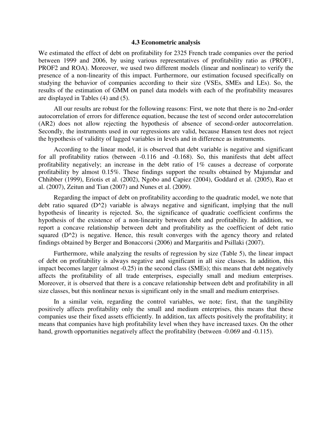#### **4.3 Econometric analysis**

We estimated the effect of debt on profitability for 2325 French trade companies over the period between 1999 and 2006, by using various representatives of profitability ratio as (PROF1, PROF2 and ROA). Moreover, we used two different models (linear and nonlinear) to verify the presence of a non-linearity of this impact. Furthermore, our estimation focused specifically on studying the behavior of companies according to their size (VSEs, SMEs and LEs). So, the results of the estimation of GMM on panel data models with each of the profitability measures are displayed in Tables (4) and (5).

All our results are robust for the following reasons: First, we note that there is no 2nd-order autocorrelation of errors for difference equation, because the test of second order autocorrelation (AR2) does not allow rejecting the hypothesis of absence of second-order autocorrelation. Secondly, the instruments used in our regressions are valid, because Hansen test does not reject the hypothesis of validity of lagged variables in levels and in difference as instruments.

According to the linear model, it is observed that debt variable is negative and significant for all profitability ratios (between -0.116 and -0.168). So, this manifests that debt affect profitability negatively; an increase in the debt ratio of 1% causes a decrease of corporate profitability by almost 0.15%. These findings support the results obtained by Majumdar and Chhibber (1999), Eriotis et al. (2002), Ngobo and Capiez (2004), Goddard et al. (2005), Rao et al. (2007), Zeitun and Tian (2007) and Nunes et al. (2009).

Regarding the impact of debt on profitability according to the quadratic model, we note that debt ratio squared (D^2) variable is always negative and significant, implying that the null hypothesis of linearity is rejected. So, the significance of quadratic coefficient confirms the hypothesis of the existence of a non-linearity between debt and profitability. In addition, we report a concave relationship between debt and profitability as the coefficient of debt ratio squared  $(D^2)$  is negative. Hence, this result converges with the agency theory and related findings obtained by Berger and Bonaccorsi (2006) and Margaritis and Psillaki (2007).

Furthermore, while analyzing the results of regression by size (Table 5), the linear impact of debt on profitability is always negative and significant in all size classes. In addition, this impact becomes larger (almost -0.25) in the second class (SMEs); this means that debt negatively affects the profitability of all trade enterprises, especially small and medium enterprises. Moreover, it is observed that there is a concave relationship between debt and profitability in all size classes, but this nonlinear nexus is significant only in the small and medium enterprises.

In a similar vein, regarding the control variables, we note; first, that the tangibility positively affects profitability only the small and medium enterprises, this means that these companies use their fixed assets efficiently. In addition, tax affects positively the profitability; it means that companies have high profitability level when they have increased taxes. On the other hand, growth opportunities negatively affect the profitability (between -0.069 and -0.115).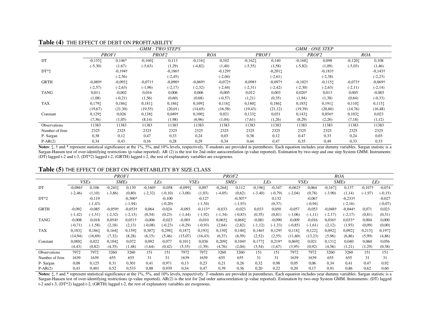|                |                 |                 |                   | <b>GMM: TWO STEPS</b> |                 |                 |                 |                    |                   | <b>GMM: ONE STEP</b>  |                 |                 |
|----------------|-----------------|-----------------|-------------------|-----------------------|-----------------|-----------------|-----------------|--------------------|-------------------|-----------------------|-----------------|-----------------|
|                | <b>PROF1</b>    |                 | PROF <sub>2</sub> |                       | <b>ROA</b>      |                 | <b>PROF1</b>    |                    | PROF <sub>2</sub> |                       | <b>ROA</b>      |                 |
| DT             | $-0,1551$       | $0,146*$        | $-0,1601$         | 0,113                 | $-0.1161$       | 0,102           | $-0,1621$       | 0,140              | $-0,1681$         | 0,098                 | $-0,120$ :      | 0,108           |
|                | $(-5,30)$       | (1,67)          | $(-5,63)$         | (1,29)                | $(-4, 82)$      | (1,40)          | $(-5, 55)$      | (1,58)             | $(-5, 82)$        | (1,09)                | $(-5,03)$       | (1,46)          |
| $DT*2$         |                 | $-0,194\dagger$ |                   | $-0,186\dagger$       |                 | $-0,129\dagger$ |                 | $-0,201$ $\dagger$ |                   | $-0,183\dagger$       |                 | $-0,143\dagger$ |
|                |                 | $(-2, 56)$      |                   | $(-2, 45)$            |                 | $(-2,04)$       |                 | $(-2,61)$          |                   | $(-2, 38)$            |                 | $(-2, 23)$      |
| <b>GRTH</b>    | $-0.089\dagger$ | $-0,0931$       | $-0,071\dagger$   | $-0.090\dagger$       | $-0.069\dagger$ | $-0,072\dagger$ | $-0.098\dagger$ | $-0.097\dagger$    | $-0,102\dagger$   | $-0,115$ <sup>+</sup> | $-0,073\dagger$ | $-0,069\dagger$ |
|                | $(-2,57)$       | $(-2,63)$       | $(-1,96)$         | $(-2,17)$             | $(-2, 32)$      | $(-2, 44)$      | $(-2,31)$       | $(-2, 42)$         | $(-2,30)$         | $(-2,63)$             | $(-2,11)$       | $(-2, 14)$      |
| <b>TANG</b>    | 0,011           | $-0,002$        | 0,016             | 0,006                 | 0,006           | $-0,005$        | 0,012           | 0,003              | $0.020*$          | 0,013                 | 0,005           | $-0.003$        |
|                | (1.08)          | $(-0,21)$       | (1,56)            | (0,60)                | (0.68)          | $(-0,57)$       | (1,21)          | (0,35)             | (1, 94)           | (1,38)                | (0, 64)         | $(-0, 33)$      |
| <b>TAX</b>     | 0,1791          | 0,1861          | 0,1811            | 0,1861                | 0,1091          | 0,1161          | 0,180           | 0,1861             | 0,1851            | 0,1911                | 0,1101          | 0,1151          |
|                | (19,67)         | (21,30)         | (19, 55)          | (20,01)               | (14, 65)        | (16,58)         | (19, 43)        | (21,12)            | (19, 39)          | (20,60)               | (14,76)         | (16, 48)        |
| Constant       | 0,1291          | 0,026           | 0,1381            | $0,049\dagger$        | 0,1001          | 0,021           | 0,1331          | 0,031              | 0,1431            | $0,056\dagger$        | 0,1031          | 0,023           |
|                | (7,36)          | (1,05)          | (8,14)            | (1,98)                | (6,96)          | (1,04)          | (7,61)          | (1,26)             | (8,29)            | (2,26)                | (7,18)          | (1,12)          |
| Observations   | 11383           | 11383           | 11383             | 11383                 | 11383           | 11383           | 11383           | 11383              | 11383             | 11383                 | 11383           | 11383           |
| Number of firm | 2325            | 2325            | 2325              | 2325                  | 2325            | 2325            | 2325            | 2325               | 2325              | 2325                  | 2325            | 2325            |
| P-Sargan       | 0,38            | 0,12            | 0,47              | 0,33                  | 0,24            | 0,03            | 0,38            | 0,12               | 0,47              | 0.33                  | 0,24            | 0,03            |
| $P-AR(2)$      | 0,34            | 0.43            | 0,16              | 0,28                  | 0,29            | 0,34            | 0,44            | 0,47               | 0,35              | 0,49                  | 0,33            | 0,33            |

### **Table (4)** THE EFFECT OF DEBT ON PROFITABILITY

Notes:  $\ddagger$ ,  $\dagger$  and  $*$  represent statistical significance at the 1%, 5%, and 10% levels, respectively. T-students are provided in parentheses. Each equation includes year dummy variables. Sargan statistic is a Sargan-Hansen test of over-identifying restrictions (p-value reported). AR (2) is the test for 2nd order autocorrelation (p-value reported). Estimation by two-step and one step System GMM. Instruments: (DT) lagged t-2 and t-3, (DT\*2) lagged t-2, (GRTH) lagged t-2, the rest of explanatory variables are exogenous.

#### **Table (5)** THE EFFECT OF DEBT ON PROFITABILITY BY SIZE CLASS

|                     | <b>PROF1</b>    |            |                 |                 |                 |           |             | PROF <sub>2</sub> |                 |            |                |                |                 |            | <b>ROA</b>      |                 |                 |           |  |  |
|---------------------|-----------------|------------|-----------------|-----------------|-----------------|-----------|-------------|-------------------|-----------------|------------|----------------|----------------|-----------------|------------|-----------------|-----------------|-----------------|-----------|--|--|
|                     | <i>VSEs</i>     |            | <b>SMEs</b>     |                 | LEs             |           | <i>VSEs</i> |                   | <b>SMEs</b>     |            | LEs            |                | <i>VSEs</i>     |            | <b>SMEs</b>     |                 | LEs             |           |  |  |
| DT                  | $-0.086\dagger$ | 0,106      | $-0.2431$       | 0,139           | $-0.160\dagger$ | $-0.058$  | $-0,0991$   | 0,097             | $-0,264$ :      | 0,112      | $-0.1961$      | $-0.347$       | $-0.062\dagger$ | 0,064      | $-0.1671$       | 0,137           | $-0,107\dagger$ | $-0,074$  |  |  |
|                     | $(-2, 46)$      | (1,10)     | $(-3, 86)$      | (0, 80)         | $(-2, 32)$      | $(-0.10)$ | $(-3,00)$   | (1,03)            | $(-4,05)$       | (0.62)     | $(-3, 40)$     | $(-0.79)$      | $(-2,04)$       | (0.78)     | $(-3,90)$       | (1,14)          | $(-1, 97)$      | $(-0,15)$ |  |  |
| $DT*2$              |                 | $-0,119$   |                 | $-0.300*$       |                 | $-0,100$  |             | $-0,127$          |                 | $-0.307*$  |                | 0,132          |                 | $-0.067$   |                 | $-0,233\dagger$ |                 | $-0,027$  |  |  |
|                     |                 | $(-1, 43)$ |                 | $(-1, 94)$      |                 | $(-0,20)$ |             | $(-1, 54)$        |                 | $(-1, 93)$ |                | (0,37)         |                 | $(-0, 94)$ |                 | $(-2,16)$       |                 | $(-0,07)$ |  |  |
| <b>GRTH</b>         | $-0.092$        | $-0.085$   | $-0.059\dagger$ | $-0.053\dagger$ | 0,064           | 0,024     | $-0.093$    | $-0.113*$         | $-0.033$        | $-0,023$   | 0.033          | 0,050          | $-0.057$        | $-0.053$   | $-0.048\dagger$ | $-0.044\dagger$ | 0,071           | 0,023     |  |  |
|                     | $(-1, 42)$      | $(-1, 51)$ | $(-2, 32)$      | $(-2, 13)$      | (0, 54)         | (0,23)    | $(-1, 44)$  | $(-1, 92)$        | $(-1, 34)$      | $(-0.83)$  | (0,35)         | (0, 81)        | $(-1,06)$       | $(-1, 11)$ | $(-2,17)$       | $(-2,17)$       | (0, 81)         | (0,31)    |  |  |
| <b>TANG</b>         | $-0,008$        | $-0.018$   | $0,054\dagger$  | $0.051\dagger$  | $-0,006$        | $-0,023$  | $-0,003$    | $-0,010$          | 0,0651          | 0.0681     | $-0.081$       | $-0,090$       | $-0,009$        | $-0.016$   | $0,036\dagger$  | $0.033*$        | 0,004           | 0,000     |  |  |
|                     | $(-0, 71)$      | $(-1, 58)$ | (2,18)          | (2,13)          | $(-0.08)$       | $(-0,23)$ | $(-0,29)$   | $(-0,93)$         | (2,64)          | (2,82)     | $(-1, 12)$     | $(-1, 33)$     | $(-0.85)$       | $(-1, 61)$ | (2,12)          | (1,93)          | (0,09)          | (0,00)    |  |  |
| <b>TAX</b>          | 0,1831          | 0,1861     | 0.1641          | 0,1591          | 0,3071          | 0,2981    | 0,1871      | 0,1931            | 0,150 $\dagger$ | 0,1401     | $0,146\dagger$ | $0,129\dagger$ | 0,1181          | 0,1221     | 0,0921          | 0,092‡          | 0,215.          | $0,197$ ‡ |  |  |
|                     | (14, 94)        | (16,69)    | (7, 32)         | (8,28)          | (6,15)          | (5,46)    | (15,07)     | (16, 43)          | (6,37)          | (6, 59)    | (2,52)         | (2,55)         | (11,60)         | (13,23)    | (5,96)          | (6, 86)         | (5,99)          | (4, 86)   |  |  |
| Constant            | 0,0881          | 0,022      | 0,1841          | 0,072           | 0,092           | 0,077     | 0,1011      | 0,036             | 0,2091          | 0,104†     | 0.1771         | $0.219*$       | 0,0691          | 0,021      | 0,1311          | 0,040           | 0,060           | 0,056     |  |  |
|                     | (4, 43)         | (0, 82)    | (4,35)          | (1, 48)         | (1,64)          | (0,42)    | (5,35)      | (1,39)            | (4,76)          | (2,04)     | (3,54)         | (1,67)         | (3,95)          | (0,92)     | (4,56)          | (1,21)          | (1,29)          | (0,38)    |  |  |
| <b>Observations</b> | 7972            | 7972       | 3260            | 3260            | 151             | 151       | 7972        | 7972              | 3260            | 3260       | 151            | 151            | 7972            | 7972       | 3260            | 3260            | 151             | 151       |  |  |
| Number of firm      | 1639            | 1639       | 655             | 655             | 31              | 31        | 1639        | 1639              | 655             | 655        | 31             | 31             | 1639            | 1639       | 655             | 655             | 31              | 31        |  |  |
| P-Sargan            | 0.08            | 0.125      | 0,31            | 0,301           | 0.41            | 0.971     | 0.13        | 0,23              | 0,21            | 0,26       | 0.32           | 0.98           | 0.05            | 0.06       | 0.34            | 0.41            | 0.47            | 0,92      |  |  |
| $P-AR(2)$           | 0.43            | 0,401      | 0,52            | 0,533           | 0,88            | 0,939     | 0.34        | 0.47              | 0.39            | 0.36       | 0,20           | 0,22           | 0,20            | 0,17       | 0.91            | 0.86            | 0.62            | 0.60      |  |  |

Notes:  $\ddagger$ ,  $\dagger$  and \* represent statistical significance at the 1%, 5%, and 10% levels, respectively. T-students are provided in parentheses. Each equation includes year dummy variables. Sargan statistic is a Sargan-Hansen test of over-identifying restrictions (p-value reported). AR(2) is the test for 2nd order autocorrelation (p-value reported). Estimation by two-step System GMM. Instruments: (DT) lagged t-2 and t-3, (DT\*2) lagged t-2, (GRTH) lagged t-2, the rest of explanatory variables are exogenous.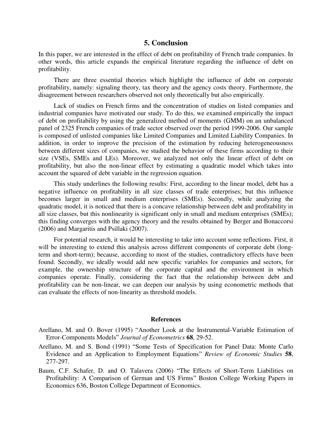# **5. Conclusion**

In this paper, we are interested in the effect of debt on profitability of French trade companies. In other words, this article expands the empirical literature regarding the influence of debt on profitability.

There are three essential theories which highlight the influence of debt on corporate profitability, namely: signaling theory, tax theory and the agency costs theory. Furthermore, the disagreement between researchers observed not only theoretically but also empirically.

Lack of studies on French firms and the concentration of studies on listed companies and industrial companies have motivated our study. To do this, we examined empirically the impact of debt on profitability by using the generalized method of moments (GMM) on an unbalanced panel of 2325 French companies of trade sector observed over the period 1999-2006. Our sample is composed of unlisted companies like Limited Companies and Limited Liability Companies. In addition, in order to improve the precision of the estimation by reducing heterogeneousness between different sizes of companies, we studied the behavior of these firms according to their size (VSEs, SMEs and LEs). Moreover, we analyzed not only the linear effect of debt on profitability, but also the non-linear effect by estimating a quadratic model which takes into account the squared of debt variable in the regression equation.

This study underlines the following results: First, according to the linear model, debt has a negative influence on profitability in all size classes of trade enterprises; but this influence becomes larger in small and medium enterprises (SMEs). Secondly, while analyzing the quadratic model, it is noticed that there is a concave relationship between debt and profitability in all size classes, but this nonlinearity is significant only in small and medium enterprises (SMEs); this finding converges with the agency theory and the results obtained by Berger and Bonaccorsi (2006) and Margaritis and Psillaki (2007).

For potential research, it would be interesting to take into account some reflections. First, it will be interesting to extend this analysis across different components of corporate debt (longterm and short-term); because, according to most of the studies, contradictory effects have been found. Secondly, we ideally would add new specific variables for companies and sectors, for example, the ownership structure of the corporate capital and the environment in which companies operate. Finally, considering the fact that the relationship between debt and profitability can be non-linear, we can deepen our analysis by using econometric methods that can evaluate the effects of non-linearity as threshold models.

#### **References**

- Arellano, M. and O. Bover (1995) "Another Look at the Instrumental-Variable Estimation of Error-Components Models" *Journal of Econometrics* **68**, 29-52.
- Arellano, M. and S. Bond (1991) "Some Tests of Specification for Panel Data: Monte Carlo Evidence and an Application to Employment Equations" *Review of Economic Studies* **58**, 277-297.
- Baum, C.F. Schafer, D. and O. Talavera (2006) "The Effects of Short-Term Liabilities on Profitability: A Comparison of German and US Firms" Boston College Working Papers in Economics 636, Boston College Department of Economics.